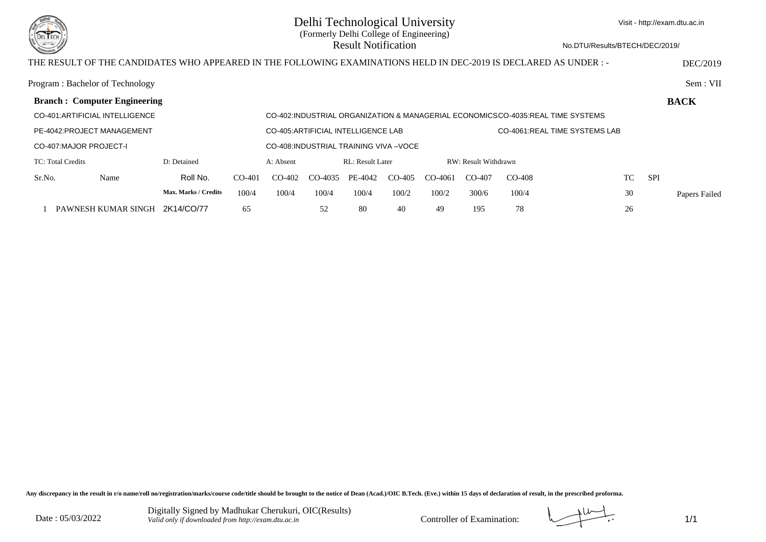

# Delhi Technological University (Formerly Delhi College of Engineering) Result Notification

No.DTU/Results/BTECH/DEC/2019/

# THE RESULT OF THE CANDIDATES WHO APPEARED IN THE FOLLOWING EXAMINATIONS HELD IN DEC-2019 IS DECLARED AS UNDER : - DEC/2019

|                                         | Program: Bachelor of Technology     |                                                                      |          |                                                                                |           |                  |          |           |                      |          |                  | Sem : VII     |
|-----------------------------------------|-------------------------------------|----------------------------------------------------------------------|----------|--------------------------------------------------------------------------------|-----------|------------------|----------|-----------|----------------------|----------|------------------|---------------|
|                                         | <b>Branch: Computer Engineering</b> |                                                                      |          |                                                                                |           |                  |          |           |                      |          |                  | <b>BACK</b>   |
|                                         | CO-401:ARTIFICIAL INTELLIGENCE      |                                                                      |          | CO-402:INDUSTRIAL ORGANIZATION & MANAGERIAL ECONOMICSCO-4035:REAL TIME SYSTEMS |           |                  |          |           |                      |          |                  |               |
| PE-4042: PROJECT MANAGEMENT             |                                     | CO-4061:REAL TIME SYSTEMS LAB<br>CO-405: ARTIFICIAL INTELLIGENCE LAB |          |                                                                                |           |                  |          |           |                      |          |                  |               |
| <b>CO-407:MAJOR PROJECT-I</b>           |                                     |                                                                      |          | CO-408: INDUSTRIAL TRAINING VIVA - VOCE                                        |           |                  |          |           |                      |          |                  |               |
| TC: Total Credits                       |                                     | D: Detained                                                          |          | A: Absent                                                                      |           | RL: Result Later |          |           | RW: Result Withdrawn |          |                  |               |
| Sr.No.                                  | Name                                | Roll No.                                                             | $CO-401$ | $CO-402$                                                                       | $CO-4035$ | PE-4042          | $CO-405$ | $CO-4061$ | $CO-407$             | $CO-408$ | <b>SPI</b><br>TC |               |
|                                         |                                     | Max. Marks / Credits                                                 | 100/4    | 100/4                                                                          | 100/4     | 100/4            | 100/2    | 100/2     | 300/6                | 100/4    | 30               | Papers Failed |
| 65<br>PAWNESH KUMAR SINGH<br>2K14/CO/77 |                                     |                                                                      |          |                                                                                | 52        | 80               | 40       | 49        | 195                  | 78       | 26               |               |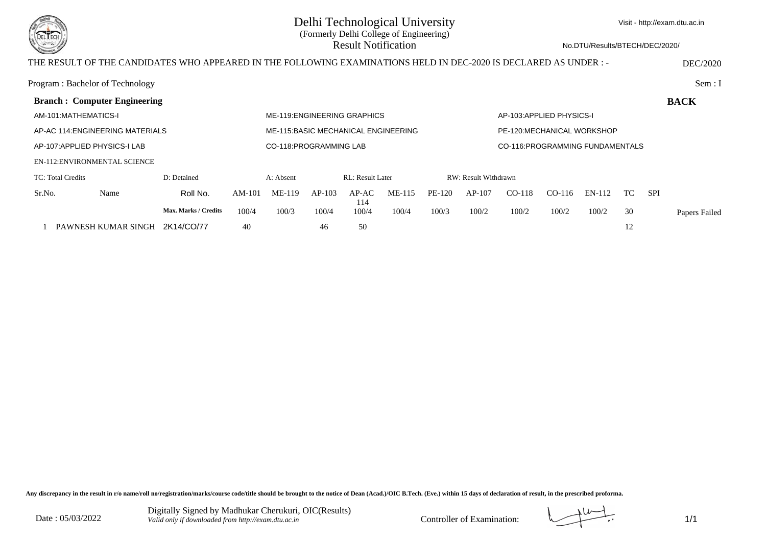

### Delhi Technological University (Formerly Delhi College of Engineering) Result Notification

No.DTU/Results/BTECH/DEC/2020/

### THE RESULT OF THE CANDIDATES WHO APPEARED IN THE FOLLOWING EXAMINATIONS HELD IN DEC-2020 IS DECLARED AS UNDER : - DEC/2020

|                               | Program: Bachelor of Technology      |                             |                                     |                              |          |                         |          |        |                                 |                           |          |        |     |            | Sem: I        |
|-------------------------------|--------------------------------------|-----------------------------|-------------------------------------|------------------------------|----------|-------------------------|----------|--------|---------------------------------|---------------------------|----------|--------|-----|------------|---------------|
|                               | <b>Branch: Computer Engineering</b>  |                             |                                     |                              |          |                         |          |        |                                 |                           |          |        |     |            | <b>BACK</b>   |
| AM-101:MATHEMATICS-I          |                                      |                             |                                     | ME-119: ENGINEERING GRAPHICS |          |                         |          |        |                                 | AP-103: APPLIED PHYSICS-I |          |        |     |            |               |
|                               | AP-AC 114. ENGINEERING MATERIALS     |                             | ME-115:BASIC MECHANICAL ENGINEERING |                              |          |                         |          |        | PE-120:MECHANICAL WORKSHOP      |                           |          |        |     |            |               |
| AP-107: APPLIED PHYSICS-I LAB |                                      | CO-118: PROGRAMMING LAB     |                                     |                              |          |                         |          |        | CO-116:PROGRAMMING FUNDAMENTALS |                           |          |        |     |            |               |
|                               | <b>EN-112: ENVIRONMENTAL SCIENCE</b> |                             |                                     |                              |          |                         |          |        |                                 |                           |          |        |     |            |               |
| TC: Total Credits             |                                      | D: Detained                 |                                     | A: Absent                    |          | <b>RL: Result Later</b> |          |        | RW: Result Withdrawn            |                           |          |        |     |            |               |
| Sr.No.                        | Name                                 | Roll No.                    | $AM-101$                            | ME-119                       | $AP-103$ | $AP-AC$<br>114          | $ME-115$ | PE-120 | $AP-107$                        | $CO-118$                  | $CO-116$ | EN-112 | TC. | <b>SPI</b> |               |
|                               |                                      | <b>Max. Marks / Credits</b> | 100/4                               | 100/3                        | 100/4    | 100/4                   | 100/4    | 100/3  | 100/2                           | 100/2                     | 100/2    | 100/2  | 30  |            | Papers Failed |
| PAWNESH KUMAR SINGH           |                                      | 2K14/CO/77                  | 40                                  |                              | 46       | 50                      |          |        |                                 |                           |          |        | 12  |            |               |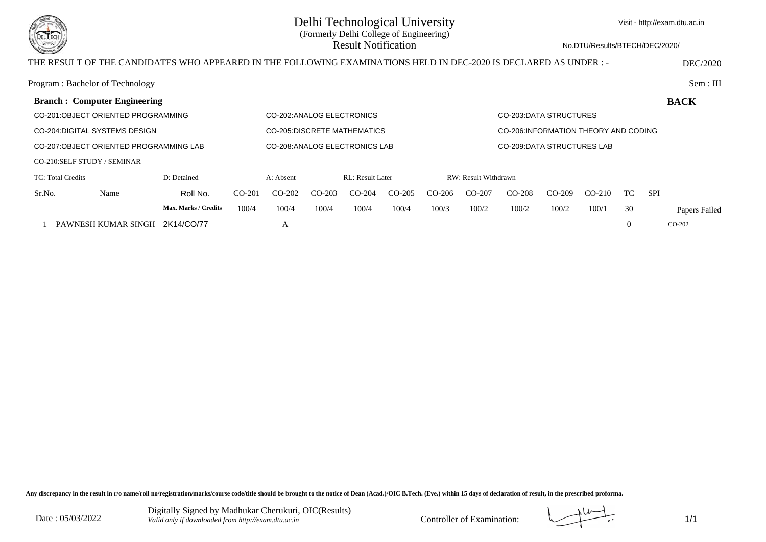

## Delhi Technological University (Formerly Delhi College of Engineering) Result Notification

Visit - http://exam.dtu.ac.in

No.DTU/Results/BTECH/DEC/2020/

### THE RESULT OF THE CANDIDATES WHO APPEARED IN THE FOLLOWING EXAMINATIONS HELD IN DEC-2020 IS DECLARED AS UNDER : - DEC/2020

|                                        | Program: Bachelor of Technology     |                                |          |           |                        |                         |                                       |          |                                   |          |          |          |          |            | Sem: III      |
|----------------------------------------|-------------------------------------|--------------------------------|----------|-----------|------------------------|-------------------------|---------------------------------------|----------|-----------------------------------|----------|----------|----------|----------|------------|---------------|
|                                        | <b>Branch: Computer Engineering</b> |                                |          |           |                        |                         |                                       |          |                                   |          |          |          |          |            | <b>BACK</b>   |
| CO-201:OBJECT ORIENTED PROGRAMMING     |                                     | CO-202: ANALOG ELECTRONICS     |          |           | CO-203.DATA STRUCTURES |                         |                                       |          |                                   |          |          |          |          |            |               |
| CO-204: DIGITAL SYSTEMS DESIGN         |                                     | CO-205:DISCRETE MATHEMATICS    |          |           |                        |                         | CO-206: INFORMATION THEORY AND CODING |          |                                   |          |          |          |          |            |               |
| CO-207:OBJECT ORIENTED PROGRAMMING LAB |                                     | CO-208: ANALOG ELECTRONICS LAB |          |           |                        |                         |                                       |          | <b>CO-209:DATA STRUCTURES LAB</b> |          |          |          |          |            |               |
|                                        | CO-210:SELF STUDY / SEMINAR         |                                |          |           |                        |                         |                                       |          |                                   |          |          |          |          |            |               |
| D: Detained<br>TC: Total Credits       |                                     |                                |          | A: Absent |                        | <b>RL:</b> Result Later |                                       |          | RW: Result Withdrawn              |          |          |          |          |            |               |
| Sr.No.                                 | Name                                | Roll No.                       | $CO-201$ | $CO-202$  | $CO-203$               | $CO-204$                | $CO-205$                              | $CO-206$ | $CO-207$                          | $CO-208$ | $CO-209$ | $CO-210$ | TC.      | <b>SPI</b> |               |
|                                        |                                     | Max. Marks / Credits           | 100/4    | 100/4     | 100/4                  | 100/4                   | 100/4                                 | 100/3    | 100/2                             | 100/2    | 100/2    | 100/1    | 30       |            | Papers Failed |
|                                        | PAWNESH KUMAR SINGH                 | 2K14/CO/77                     |          | А         |                        |                         |                                       |          |                                   |          |          |          | $\Omega$ |            | $CO-202$      |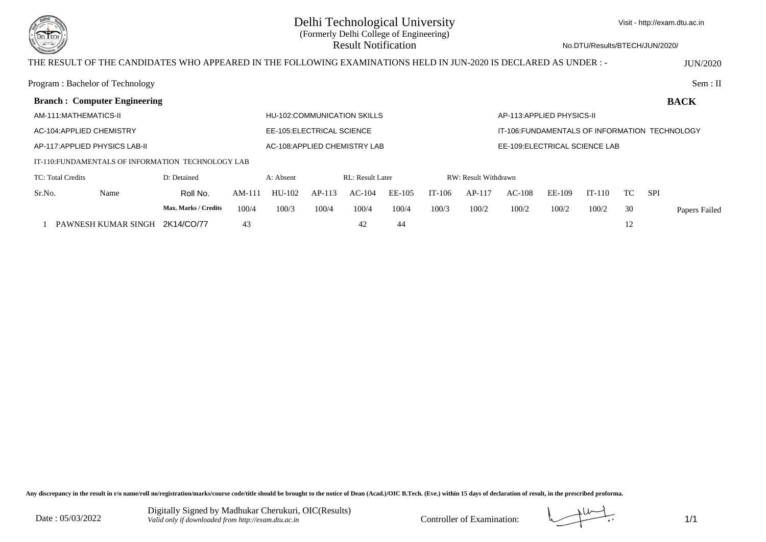

No.DTU/Results/BTECH/JUN/2020/

#### THE RESULT OF THE CANDIDATES WHO APPEARED IN THE FOLLOWING EXAMINATIONS HELD IN JUN-2020 IS DECLARED AS UNDER : - JUN/2020

| Program: Bachelor of Technology     |                                                    |                               |                                    |          |                         |        |          |                                                |                           |        |          |    |            | Sem: II       |
|-------------------------------------|----------------------------------------------------|-------------------------------|------------------------------------|----------|-------------------------|--------|----------|------------------------------------------------|---------------------------|--------|----------|----|------------|---------------|
| <b>Branch: Computer Engineering</b> |                                                    |                               |                                    |          |                         |        |          |                                                |                           |        |          |    |            | <b>BACK</b>   |
| AM-111:MATHEMATICS-II               |                                                    |                               | <b>HU-102:COMMUNICATION SKILLS</b> |          |                         |        |          |                                                | AP-113:APPLIED PHYSICS-II |        |          |    |            |               |
| AC-104: APPLIED CHEMISTRY           |                                                    | EE-105: ELECTRICAL SCIENCE    |                                    |          |                         |        |          | IT-106: FUNDAMENTALS OF INFORMATION TECHNOLOGY |                           |        |          |    |            |               |
| AP-117: APPLIED PHYSICS LAB-II      |                                                    | AC-108: APPLIED CHEMISTRY LAB |                                    |          |                         |        |          | EE-109: ELECTRICAL SCIENCE LAB                 |                           |        |          |    |            |               |
|                                     | IT-110: FUNDAMENTALS OF INFORMATION TECHNOLOGY LAB |                               |                                    |          |                         |        |          |                                                |                           |        |          |    |            |               |
| TC: Total Credits                   | D: Detained                                        |                               | A: Absent                          |          | <b>RL: Result Later</b> |        |          | RW: Result Withdrawn                           |                           |        |          |    |            |               |
| Sr.No.<br>Name                      | Roll No.                                           | $AM-111$                      | $HIJ-102$                          | $AP-113$ | $AC-104$                | EE-105 | $IT-106$ | $AP-117$                                       | $AC-108$                  | EE-109 | $IT-110$ | TC | <b>SPI</b> |               |
|                                     | Max. Marks / Credits                               | 100/4                         | 100/3                              | 100/4    | 100/4                   | 100/4  | 100/3    | 100/2                                          | 100/2                     | 100/2  | 100/2    | 30 |            | Papers Failed |
| PAWNESH KUMAR SINGH                 | 2K14/CO/77                                         | 43                            |                                    |          | 42                      | 44     |          |                                                |                           |        |          | 12 |            |               |